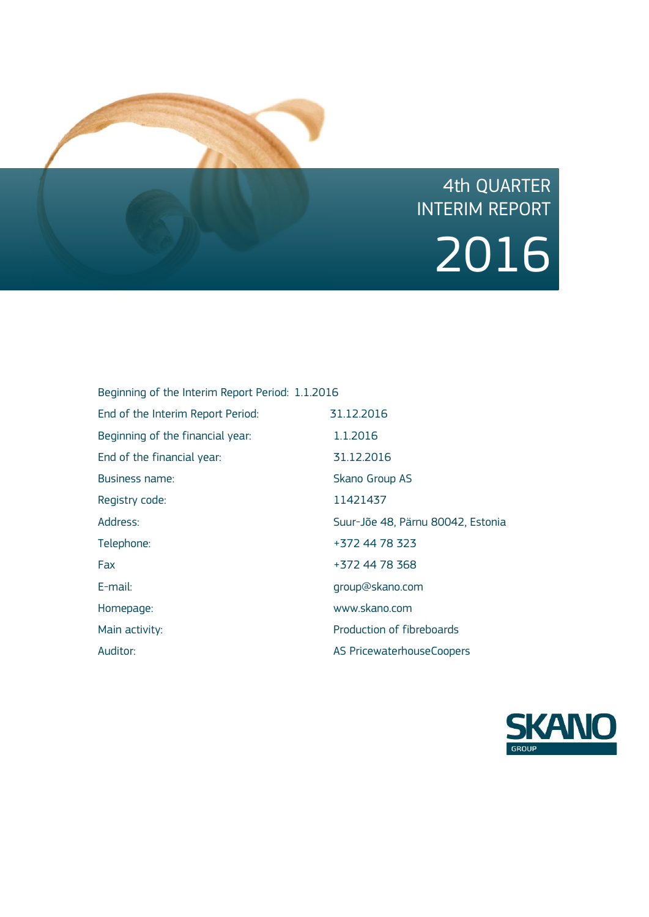

# 4th QUARTER INTERIM REPORT 2016

| Beginning of the Interim Report Period: 1.1.2016 |                                   |
|--------------------------------------------------|-----------------------------------|
| End of the Interim Report Period:                | 31.12.2016                        |
| Beginning of the financial year:                 | 1.1.2016                          |
| End of the financial year:                       | 31.12.2016                        |
| <b>Business name:</b>                            | Skano Group AS                    |
| Registry code:                                   | 11421437                          |
| Address:                                         | Suur-Jõe 48, Pärnu 80042, Estonia |
| Telephone:                                       | +372 44 78 323                    |
| Fax                                              | +372 44 78 368                    |
| $E$ -mail:                                       | group@skano.com                   |
| Homepage:                                        | www.skano.com                     |
| Main activity:                                   | Production of fibreboards         |
| Auditor:                                         | AS PricewaterhouseCoopers         |

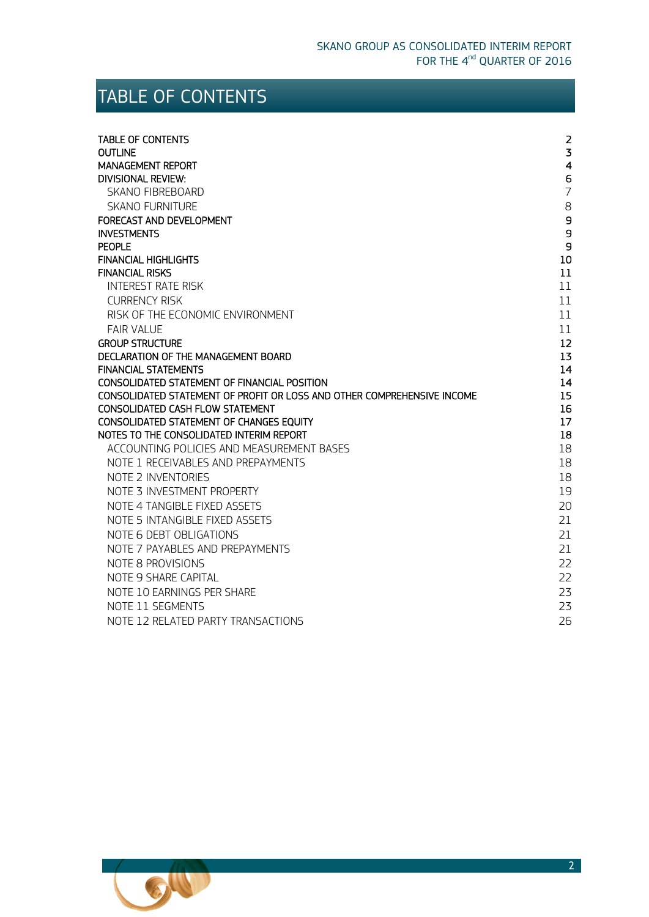# <span id="page-1-0"></span>TABLE OF CONTENTS

| <b>TABLE OF CONTENTS</b>                                                | $\overline{2}$    |
|-------------------------------------------------------------------------|-------------------|
| <b>OUTLINE</b>                                                          | $\overline{3}$    |
| <b>MANAGEMENT REPORT</b>                                                | $\overline{4}$    |
| DIVISIONAL REVIEW:                                                      | 6                 |
| <b>SKANO FIBREBOARD</b>                                                 | $\overline{7}$    |
| <b>SKANO FURNITURE</b>                                                  | 8                 |
| FORECAST AND DEVELOPMENT                                                | $\mathsf g$       |
| <b>INVESTMENTS</b>                                                      | 9                 |
| <b>PEOPLE</b>                                                           | 9                 |
| <b>FINANCIAL HIGHLIGHTS</b>                                             | 10                |
| <b>FINANCIAL RISKS</b>                                                  | 11                |
| <b>INTEREST RATE RISK</b>                                               | 11                |
| <b>CURRENCY RISK</b>                                                    | 11                |
| RISK OF THE ECONOMIC ENVIRONMENT                                        | 11                |
| <b>FAIR VALUE</b>                                                       | 11                |
| <b>GROUP STRUCTURE</b>                                                  | $12 \overline{ }$ |
| DECLARATION OF THE MANAGEMENT BOARD                                     | 13                |
| <b>FINANCIAL STATEMENTS</b>                                             | 14                |
| CONSOLIDATED STATEMENT OF FINANCIAL POSITION                            | 14                |
| CONSOLIDATED STATEMENT OF PROFIT OR LOSS AND OTHER COMPREHENSIVE INCOME | 15                |
| CONSOLIDATED CASH FLOW STATEMENT                                        | 16                |
| CONSOLIDATED STATEMENT OF CHANGES EQUITY                                | 17                |
| NOTES TO THE CONSOLIDATED INTERIM REPORT                                | 18                |
| ACCOUNTING POLICIES AND MEASUREMENT BASES                               | 18                |
| NOTE 1 RECEIVABLES AND PREPAYMENTS                                      | 18                |
| NOTE 2 INVENTORIES                                                      | 18                |
| NOTE 3 INVESTMENT PROPERTY                                              | 19                |
| NOTE 4 TANGIBLE FIXED ASSETS                                            | 20                |
| NOTE 5 INTANGIBLE FIXED ASSETS                                          | 21                |
| NOTE 6 DEBT OBLIGATIONS                                                 | 21                |
| NOTE 7 PAYABLES AND PREPAYMENTS                                         | 21                |
| NOTE 8 PROVISIONS                                                       | 22                |
| NOTE 9 SHARE CAPITAL                                                    | 22                |
| NOTE 10 EARNINGS PER SHARE                                              | 23                |
| NOTE 11 SEGMENTS                                                        | 23                |
| NOTE 12 RELATED PARTY TRANSACTIONS                                      | 26                |

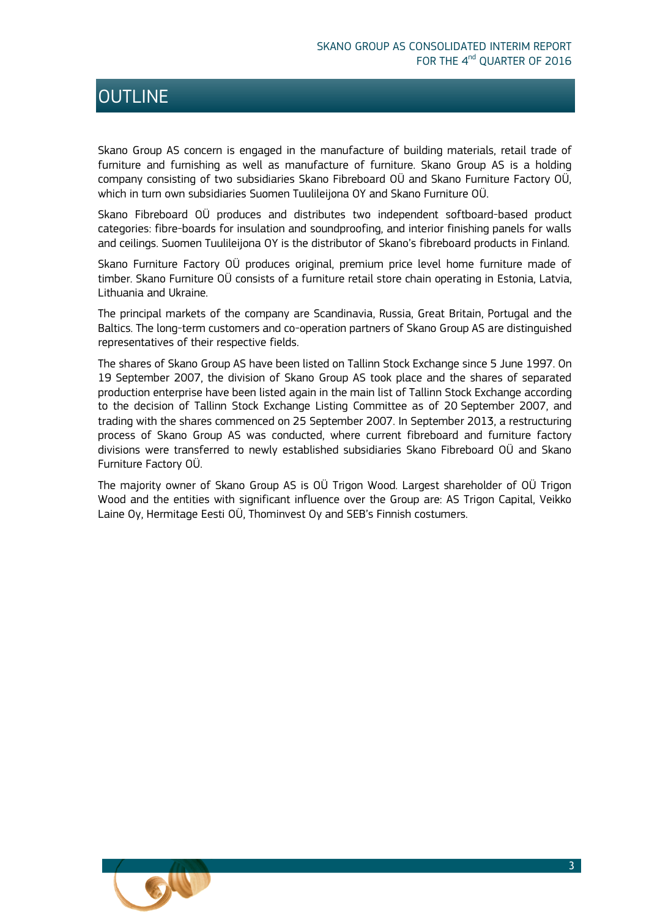### <span id="page-2-0"></span>**OUTLINE**

Skano Group AS concern is engaged in the manufacture of building materials, retail trade of furniture and furnishing as well as manufacture of furniture. Skano Group AS is a holding company consisting of two subsidiaries Skano Fibreboard OÜ and Skano Furniture Factory OÜ, which in turn own subsidiaries Suomen Tuulileijona OY and Skano Furniture OÜ.

Skano Fibreboard OÜ produces and distributes two independent softboard-based product categories: fibre-boards for insulation and soundproofing, and interior finishing panels for walls and ceilings. Suomen Tuulileijona OY is the distributor of Skano's fibreboard products in Finland.

Skano Furniture Factory OÜ produces original, premium price level home furniture made of timber. Skano Furniture OÜ consists of a furniture retail store chain operating in Estonia, Latvia, Lithuania and Ukraine.

The principal markets of the company are Scandinavia, Russia, Great Britain, Portugal and the Baltics. The long-term customers and co-operation partners of Skano Group AS are distinguished representatives of their respective fields.

The shares of Skano Group AS have been listed on Tallinn Stock Exchange since 5 June 1997. On 19 September 2007, the division of Skano Group AS took place and the shares of separated production enterprise have been listed again in the main list of Tallinn Stock Exchange according to the decision of Tallinn Stock Exchange Listing Committee as of 20 September 2007, and trading with the shares commenced on 25 September 2007. In September 2013, a restructuring process of Skano Group AS was conducted, where current fibreboard and furniture factory divisions were transferred to newly established subsidiaries Skano Fibreboard OÜ and Skano Furniture Factory OÜ.

The majority owner of Skano Group AS is OÜ Trigon Wood. Largest shareholder of OÜ Trigon Wood and the entities with significant influence over the Group are: AS Trigon Capital, Veikko Laine Oy, Hermitage Eesti OÜ, Thominvest Oy and SEB's Finnish costumers.

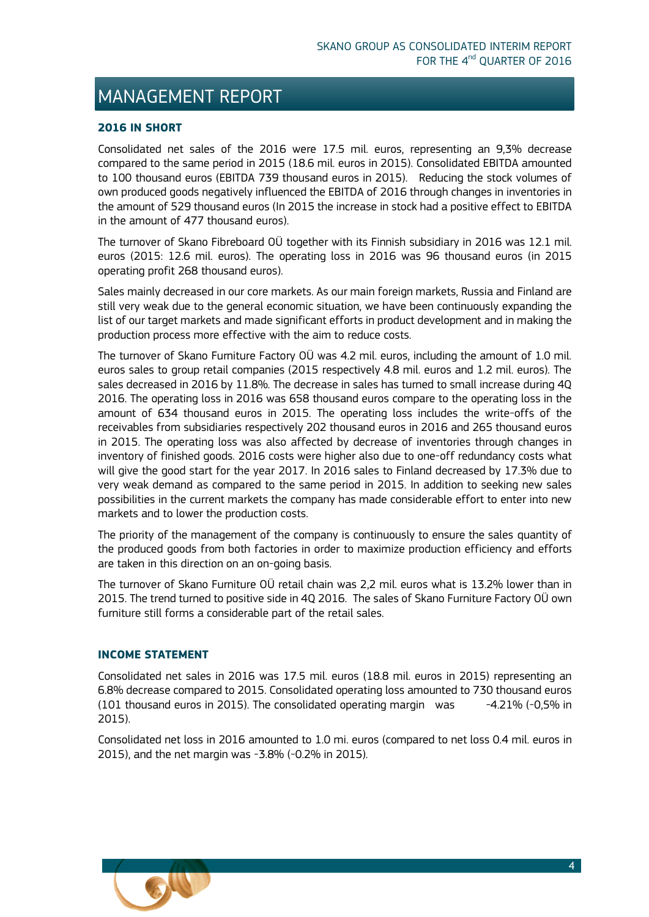### <span id="page-3-0"></span>MANAGEMENT REPORT

### **2016 IN SHORT**

Consolidated net sales of the 2016 were 17.5 mil. euros, representing an 9,3% decrease compared to the same period in 2015 (18.6 mil. euros in 2015). Consolidated EBITDA amounted to 100 thousand euros (EBITDA 739 thousand euros in 2015). Reducing the stock volumes of own produced goods negatively influenced the EBITDA of 2016 through changes in inventories in the amount of 529 thousand euros (In 2015 the increase in stock had a positive effect to EBITDA in the amount of 477 thousand euros).

The turnover of Skano Fibreboard OÜ together with its Finnish subsidiary in 2016 was 12.1 mil. euros (2015: 12.6 mil. euros). The operating loss in 2016 was 96 thousand euros (in 2015 operating profit 268 thousand euros).

Sales mainly decreased in our core markets. As our main foreign markets, Russia and Finland are still very weak due to the general economic situation, we have been continuously expanding the list of our target markets and made significant efforts in product development and in making the production process more effective with the aim to reduce costs.

The turnover of Skano Furniture Factory OÜ was 4.2 mil. euros, including the amount of 1.0 mil. euros sales to group retail companies (2015 respectively 4.8 mil. euros and 1.2 mil. euros). The sales decreased in 2016 by 11.8%. The decrease in sales has turned to small increase during 4Q 2016. The operating loss in 2016 was 658 thousand euros compare to the operating loss in the amount of 634 thousand euros in 2015. The operating loss includes the write-offs of the receivables from subsidiaries respectively 202 thousand euros in 2016 and 265 thousand euros in 2015. The operating loss was also affected by decrease of inventories through changes in inventory of finished goods. 2016 costs were higher also due to one-off redundancy costs what will give the good start for the year 2017. In 2016 sales to Finland decreased by 17.3% due to very weak demand as compared to the same period in 2015. In addition to seeking new sales possibilities in the current markets the company has made considerable effort to enter into new markets and to lower the production costs.

The priority of the management of the company is continuously to ensure the sales quantity of the produced goods from both factories in order to maximize production efficiency and efforts are taken in this direction on an on-going basis.

The turnover of Skano Furniture OÜ retail chain was 2,2 mil. euros what is 13.2% lower than in 2015. The trend turned to positive side in 4Q 2016. The sales of Skano Furniture Factory OÜ own furniture still forms a considerable part of the retail sales.

### **INCOME STATEMENT**

Consolidated net sales in 2016 was 17.5 mil. euros (18.8 mil. euros in 2015) representing an 6.8% decrease compared to 2015. Consolidated operating loss amounted to 730 thousand euros (101 thousand euros in 2015). The consolidated operating margin was  $-4.21\%$  (-0,5% in 2015).

Consolidated net loss in 2016 amounted to 1.0 mi. euros (compared to net loss 0.4 mil. euros in 2015), and the net margin was -3.8% (-0.2% in 2015).

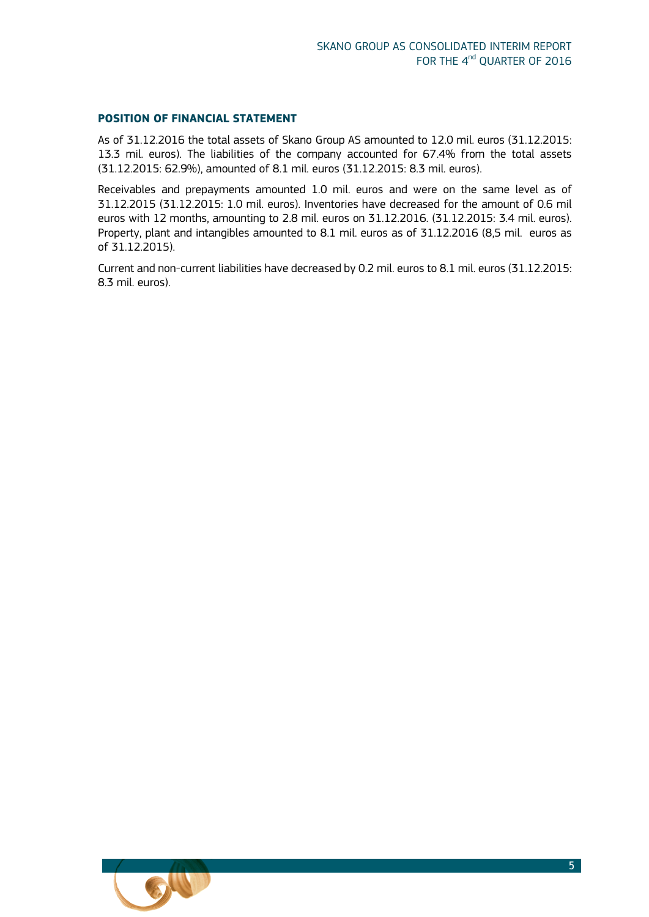### **POSITION OF FINANCIAL STATEMENT**

As of 31.12.2016 the total assets of Skano Group AS amounted to 12.0 mil. euros (31.12.2015: 13.3 mil. euros). The liabilities of the company accounted for 67.4% from the total assets (31.12.2015: 62.9%), amounted of 8.1 mil. euros (31.12.2015: 8.3 mil. euros).

Receivables and prepayments amounted 1.0 mil. euros and were on the same level as of 31.12.2015 (31.12.2015: 1.0 mil. euros). Inventories have decreased for the amount of 0.6 mil euros with 12 months, amounting to 2.8 mil. euros on 31.12.2016. (31.12.2015: 3.4 mil. euros). Property, plant and intangibles amounted to 8.1 mil. euros as of 31.12.2016 (8,5 mil. euros as of 31.12.2015).

Current and non-current liabilities have decreased by 0.2 mil. euros to 8.1 mil. euros (31.12.2015: 8.3 mil. euros).

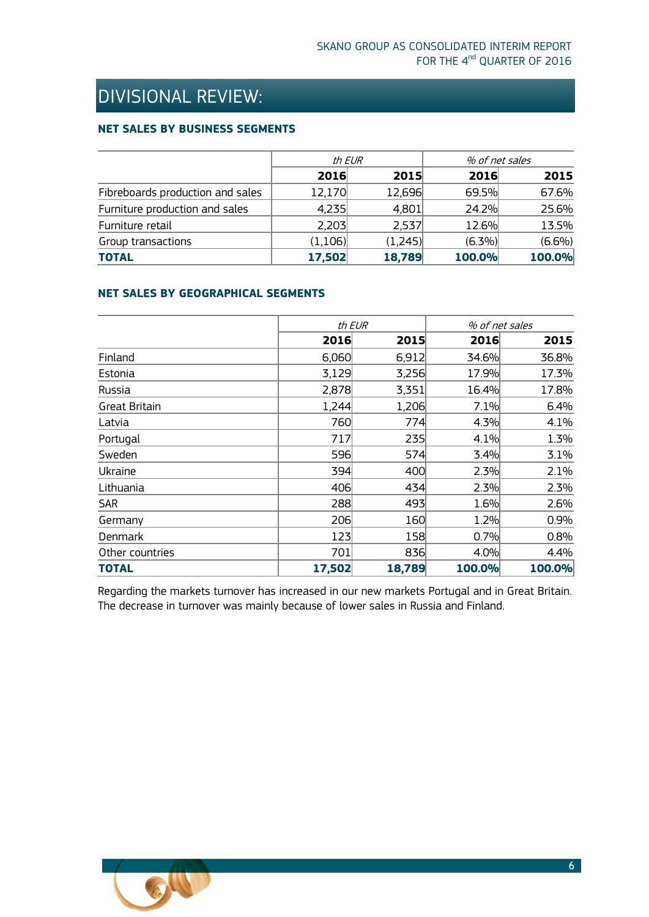# <span id="page-5-0"></span>DIVISIONAL REVIEW:

### **NET SALES BY BUSINESS SEGMENTS**

|                                  | th EUR  |         |           | % of net sales |  |
|----------------------------------|---------|---------|-----------|----------------|--|
|                                  | 2016    | 2015    | 2016      | 2015           |  |
| Fibreboards production and sales | 12,170  | 12,696  | 69.5%     | 67.6%          |  |
| Furniture production and sales   | 4,235   | 4,801   | 24.2%     | 25.6%          |  |
| Furniture retail                 | 2,203   | 2,537   | 12.6%     | 13.5%          |  |
| Group transactions               | (1,106) | (1,245) | $(6.3\%)$ | $(6.6\%)$      |  |
| <b>TOTAL</b>                     | 17,502  | 18,789  | 100.0%    | 100.0%         |  |

### **NET SALES BY GEOGRAPHICAL SEGMENTS**

|                      | th EUR |        |        | % of net sales |
|----------------------|--------|--------|--------|----------------|
|                      | 2016   | 2015   | 2016   | 2015           |
| Finland              | 6,060  | 6,912  | 34.6%  | 36.8%          |
| Estonia              | 3,129  | 3,256  | 17.9%  | 17.3%          |
| Russia               | 2,878  | 3,351  | 16.4%  | 17.8%          |
| <b>Great Britain</b> | 1,244  | 1,206  | 7.1%   | 6.4%           |
| Latvia               | 760    | 774    | 4.3%   | 4.1%           |
| Portugal             | 717    | 235    | 4.1%   | 1.3%           |
| Sweden               | 596    | 574    | 3.4%   | 3.1%           |
| Ukraine              | 394    | 400    | 2.3%   | 2.1%           |
| Lithuania            | 406    | 434    | 2.3%   | 2.3%           |
| <b>SAR</b>           | 288    | 493    | 1.6%   | 2.6%           |
| Germany              | 206    | 160    | 1.2%   | 0.9%           |
| Denmark              | 123    | 158    | 0.7%   | 0.8%           |
| Other countries      | 701    | 836    | 4.0%   | 4.4%           |
| <b>TOTAL</b>         | 17,502 | 18,789 | 100.0% | 100.0%         |

Regarding the markets turnover has increased in our new markets Portugal and in Great Britain. The decrease in turnover was mainly because of lower sales in Russia and Finland.

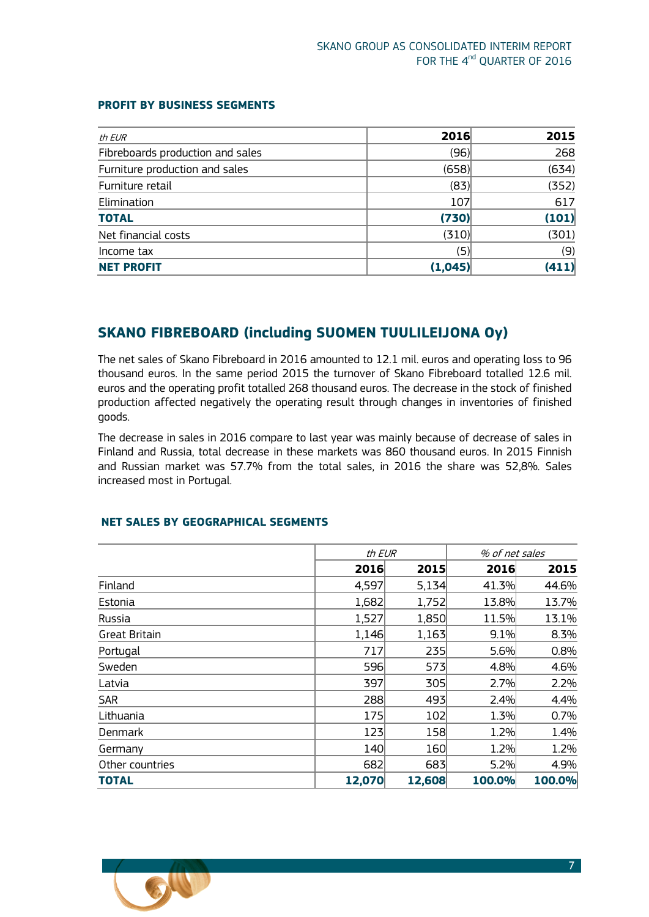| th EUR                           | 2016    | 2015  |
|----------------------------------|---------|-------|
| Fibreboards production and sales | (96)    | 268   |
| Furniture production and sales   | (658)   | (634) |
| Furniture retail                 | (83)    | (352) |
| Elimination                      | 107     | 617   |
| <b>TOTAL</b>                     | (730)   | (101) |
| Net financial costs              | (310)   | (301) |
| Income tax                       | (5)     | (9)   |
| <b>NET PROFIT</b>                | (1,045) | (411) |

### **PROFIT BY BUSINESS SEGMENTS**

### <span id="page-6-0"></span>**SKANO FIBREBOARD (including SUOMEN TUULILEIJONA Oy)**

The net sales of Skano Fibreboard in 2016 amounted to 12.1 mil. euros and operating loss to 96 thousand euros. In the same period 2015 the turnover of Skano Fibreboard totalled 12.6 mil. euros and the operating profit totalled 268 thousand euros. The decrease in the stock of finished production affected negatively the operating result through changes in inventories of finished goods.

The decrease in sales in 2016 compare to last year was mainly because of decrease of sales in Finland and Russia, total decrease in these markets was 860 thousand euros. In 2015 Finnish and Russian market was 57.7% from the total sales, in 2016 the share was 52,8%. Sales increased most in Portugal.

|                      | th EUR |        | % of net sales |        |
|----------------------|--------|--------|----------------|--------|
|                      | 2016   | 2015   | 2016           | 2015   |
| Finland              | 4,597  | 5,134  | 41.3%          | 44.6%  |
| Estonia              | 1,682  | 1,752  | 13.8%          | 13.7%  |
| Russia               | 1,527  | 1,850  | 11.5%          | 13.1%  |
| <b>Great Britain</b> | 1,146  | 1,163  | 9.1%           | 8.3%   |
| Portugal             | 717    | 235    | 5.6%           | 0.8%   |
| Sweden               | 596    | 573    | 4.8%           | 4.6%   |
| Latvia               | 397    | 305    | 2.7%           | 2.2%   |
| <b>SAR</b>           | 288    | 493    | 2.4%           | 4.4%   |
| Lithuania            | 175    | 102    | 1.3%           | 0.7%   |
| Denmark              | 123    | 158    | 1.2%           | 1.4%   |
| Germany              | 140    | 160    | 1.2%           | 1.2%   |
| Other countries      | 682    | 683    | 5.2%           | 4.9%   |
| <b>TOTAL</b>         | 12,070 | 12,608 | 100.0%         | 100.0% |

### **NET SALES BY GEOGRAPHICAL SEGMENTS**

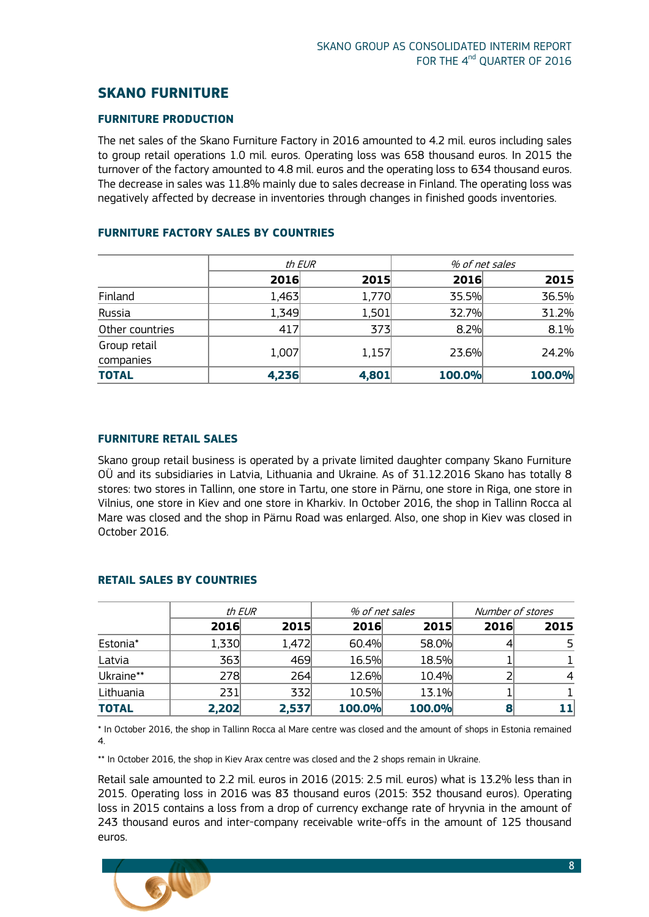### <span id="page-7-0"></span>**SKANO FURNITURE**

### **FURNITURE PRODUCTION**

The net sales of the Skano Furniture Factory in 2016 amounted to 4.2 mil. euros including sales to group retail operations 1.0 mil. euros. Operating loss was 658 thousand euros. In 2015 the turnover of the factory amounted to 4.8 mil. euros and the operating loss to 634 thousand euros. The decrease in sales was 11.8% mainly due to sales decrease in Finland. The operating loss was negatively affected by decrease in inventories through changes in finished goods inventories.

|                           | th EUR |       |        | % of net sales |
|---------------------------|--------|-------|--------|----------------|
|                           | 2016   | 2015  | 2016   | 2015           |
| Finland                   | 1,463  | 1,770 | 35.5%  | 36.5%          |
| Russia                    | 1,349  | 1,501 | 32.7%  | 31.2%          |
| Other countries           | 417    | 373   | 8.2%   | 8.1%           |
| Group retail<br>companies | 1,007  | 1,157 | 23.6%  | 24.2%          |
| <b>TOTAL</b>              | 4,236  | 4,801 | 100.0% | 100.0%         |

### **FURNITURE FACTORY SALES BY COUNTRIES**

### **FURNITURE RETAIL SALES**

Skano group retail business is operated by a private limited daughter company Skano Furniture OÜ and its subsidiaries in Latvia, Lithuania and Ukraine. As of 31.12.2016 Skano has totally 8 stores: two stores in Tallinn, one store in Tartu, one store in Pärnu, one store in Riga, one store in Vilnius, one store in Kiev and one store in Kharkiv. In October 2016, the shop in Tallinn Rocca al Mare was closed and the shop in Pärnu Road was enlarged. Also, one shop in Kiev was closed in October 2016.

|              |       | th EUR | % of net sales |        | Number of stores |      |
|--------------|-------|--------|----------------|--------|------------------|------|
|              | 2016  | 2015   | 2016           | 2015   | 2016             | 2015 |
| Estonia*     | 1,330 | 1,472  | 60.4%          | 58.0%  |                  |      |
| Latvia       | 363   | 469    | 16.5%          | 18.5%  |                  |      |
| Ukraine**    | 278   | 264    | 12.6%          | 10.4%  |                  | 4    |
| Lithuania    | 231   | 332    | 10.5%          | 13.1%  |                  |      |
| <b>TOTAL</b> | 2,202 | 2,537  | 100.0%         | 100.0% |                  |      |

### **RETAIL SALES BY COUNTRIES**

\* In October 2016, the shop in Tallinn Rocca al Mare centre was closed and the amount of shops in Estonia remained 4.

\*\* In October 2016, the shop in Kiev Arax centre was closed and the 2 shops remain in Ukraine.

Retail sale amounted to 2.2 mil. euros in 2016 (2015: 2.5 mil. euros) what is 13.2% less than in 2015. Operating loss in 2016 was 83 thousand euros (2015: 352 thousand euros). Operating loss in 2015 contains a loss from a drop of currency exchange rate of hryvnia in the amount of 243 thousand euros and inter-company receivable write-offs in the amount of 125 thousand euros.

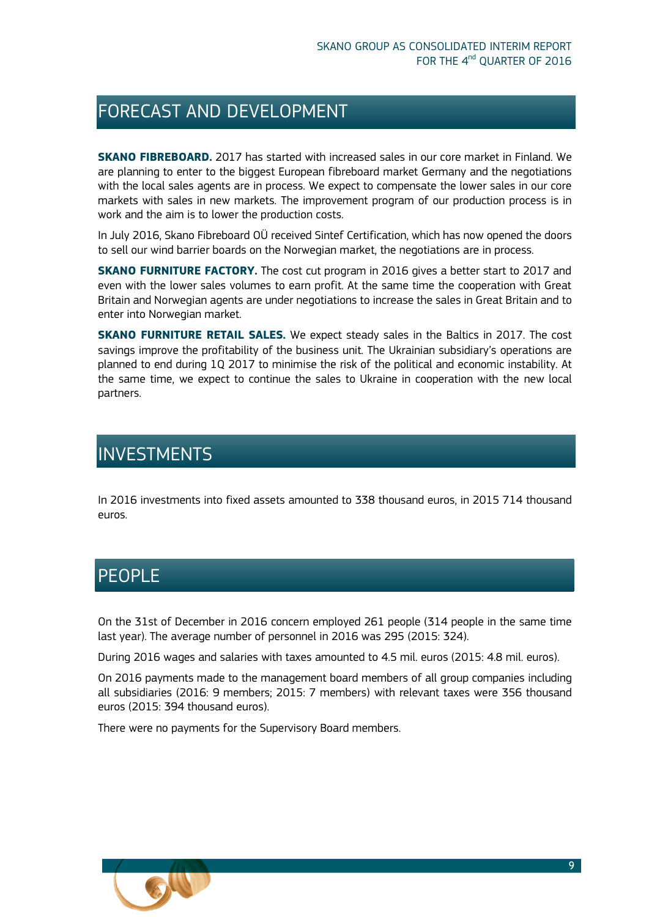### <span id="page-8-0"></span>FORECAST AND DEVELOPMENT

**SKANO FIBREBOARD.** 2017 has started with increased sales in our core market in Finland. We are planning to enter to the biggest European fibreboard market Germany and the negotiations with the local sales agents are in process. We expect to compensate the lower sales in our core markets with sales in new markets. The improvement program of our production process is in work and the aim is to lower the production costs.

In July 2016, Skano Fibreboard OÜ received Sintef Certification, which has now opened the doors to sell our wind barrier boards on the Norwegian market, the negotiations are in process.

**SKANO FURNITURE FACTORY.** The cost cut program in 2016 gives a better start to 2017 and even with the lower sales volumes to earn profit. At the same time the cooperation with Great Britain and Norwegian agents are under negotiations to increase the sales in Great Britain and to enter into Norwegian market.

**SKANO FURNITURE RETAIL SALES.** We expect steady sales in the Baltics in 2017. The cost savings improve the profitability of the business unit. The Ukrainian subsidiary's operations are planned to end during 1Q 2017 to minimise the risk of the political and economic instability. At the same time, we expect to continue the sales to Ukraine in cooperation with the new local partners.

### <span id="page-8-1"></span>**INVESTMENTS**

In 2016 investments into fixed assets amounted to 338 thousand euros, in 2015 714 thousand euros.

### <span id="page-8-2"></span>PEOPLE

ī

On the 31st of December in 2016 concern employed 261 people (314 people in the same time last year). The average number of personnel in 2016 was 295 (2015: 324).

During 2016 wages and salaries with taxes amounted to 4.5 mil. euros (2015: 4.8 mil. euros).

On 2016 payments made to the management board members of all group companies including all subsidiaries (2016: 9 members; 2015: 7 members) with relevant taxes were 356 thousand euros (2015: 394 thousand euros).

There were no payments for the Supervisory Board members.

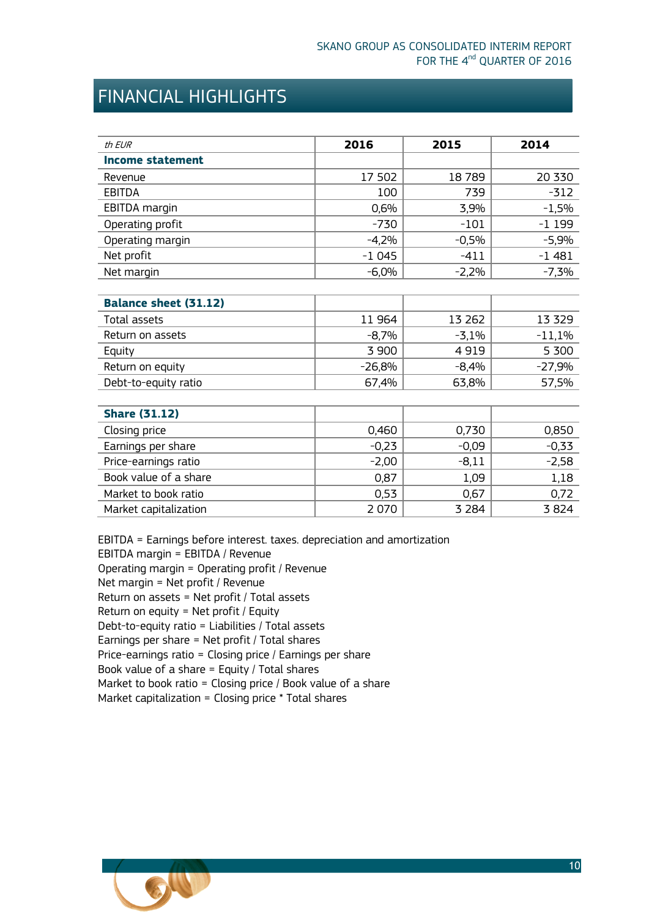## <span id="page-9-0"></span>FINANCIAL HIGHLIGHTS

| th EUR                  | 2016    | 2015    | 2014    |
|-------------------------|---------|---------|---------|
| <b>Income statement</b> |         |         |         |
| Revenue                 | 17 502  | 18789   | 20 330  |
| <b>EBITDA</b>           | 100     | 739     | $-312$  |
| EBITDA margin           | 0,6%    | 3,9%    | $-1,5%$ |
| Operating profit        | $-730$  | $-101$  | $-1199$ |
| Operating margin        | $-4,2%$ | $-0,5%$ | $-5,9%$ |
| Net profit              | $-1045$ | -411    | $-1481$ |
| Net margin              | $-6,0%$ | $-2,2%$ | $-7.3%$ |

| <b>Balance sheet (31.12)</b> |          |         |          |
|------------------------------|----------|---------|----------|
| Total assets                 | 11964    | 13 262  | 13 3 29  |
| Return on assets             | $-8.7%$  | $-3,1%$ | $-11,1%$ |
| Equity                       | 3 900    | 4919    | 5 300    |
| Return on equity             | $-26,8%$ | $-8,4%$ | $-27,9%$ |
| Debt-to-equity ratio         | 67,4%    | 63,8%   | 57,5%    |

| <b>Share (31.12)</b>  |         |         |         |
|-----------------------|---------|---------|---------|
| Closing price         | 0,460   | 0,730   | 0,850   |
| Earnings per share    | $-0,23$ | $-0.09$ | $-0,33$ |
| Price-earnings ratio  | $-2,00$ | $-8,11$ | $-2,58$ |
| Book value of a share | 0,87    | 1,09    | 1,18    |
| Market to book ratio  | 0,53    | 0,67    | 0,72    |
| Market capitalization | 2 0 7 0 | 3 2 8 4 | 3824    |

EBITDA = Earnings before interest. taxes. depreciation and amortization EBITDA margin = EBITDA / Revenue Operating margin = Operating profit / Revenue Net margin = Net profit / Revenue Return on assets = Net profit / Total assets Return on equity = Net profit / Equity Debt-to-equity ratio = Liabilities / Total assets Earnings per share = Net profit / Total shares Price-earnings ratio = Closing price / Earnings per share Book value of a share = Equity / Total shares Market to book ratio = Closing price / Book value of a share Market capitalization = Closing price \* Total shares

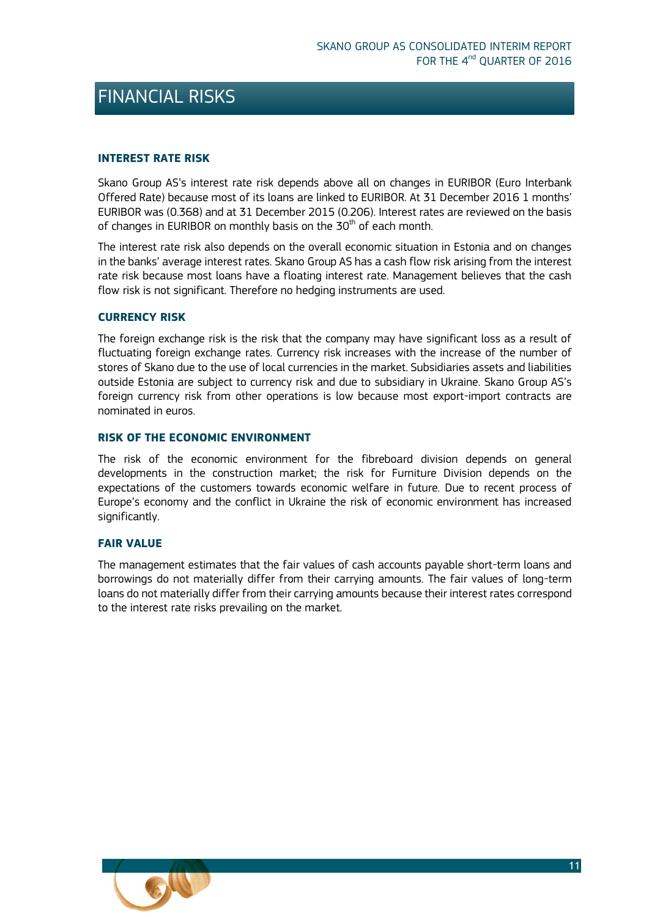### <span id="page-10-0"></span>FINANCIAL RISKS

### <span id="page-10-1"></span>**INTEREST RATE RISK**

Skano Group AS's interest rate risk depends above all on changes in EURIBOR (Euro Interbank Offered Rate) because most of its loans are linked to EURIBOR. At 31 December 2016 1 months' EURIBOR was (0.368) and at 31 December 2015 (0.206). Interest rates are reviewed on the basis of changes in EURIBOR on monthly basis on the  $30<sup>th</sup>$  of each month.

The interest rate risk also depends on the overall economic situation in Estonia and on changes in the banks' average interest rates. Skano Group AS has a cash flow risk arising from the interest rate risk because most loans have a floating interest rate. Management believes that the cash flow risk is not significant. Therefore no hedging instruments are used.

### <span id="page-10-2"></span>**CURRENCY RISK**

The foreign exchange risk is the risk that the company may have significant loss as a result of fluctuating foreign exchange rates. Currency risk increases with the increase of the number of stores of Skano due to the use of local currencies in the market. Subsidiaries assets and liabilities outside Estonia are subject to currency risk and due to subsidiary in Ukraine. Skano Group AS's foreign currency risk from other operations is low because most export-import contracts are nominated in euros.

### <span id="page-10-3"></span>**RISK OF THE ECONOMIC ENVIRONMENT**

The risk of the economic environment for the fibreboard division depends on general developments in the construction market; the risk for Furniture Division depends on the expectations of the customers towards economic welfare in future. Due to recent process of Europe's economy and the conflict in Ukraine the risk of economic environment has increased significantly.

### <span id="page-10-4"></span>**FAIR VALUE**

The management estimates that the fair values of cash accounts payable short-term loans and borrowings do not materially differ from their carrying amounts. The fair values of long-term loans do not materially differ from their carrying amounts because their interest rates correspond to the interest rate risks prevailing on the market.

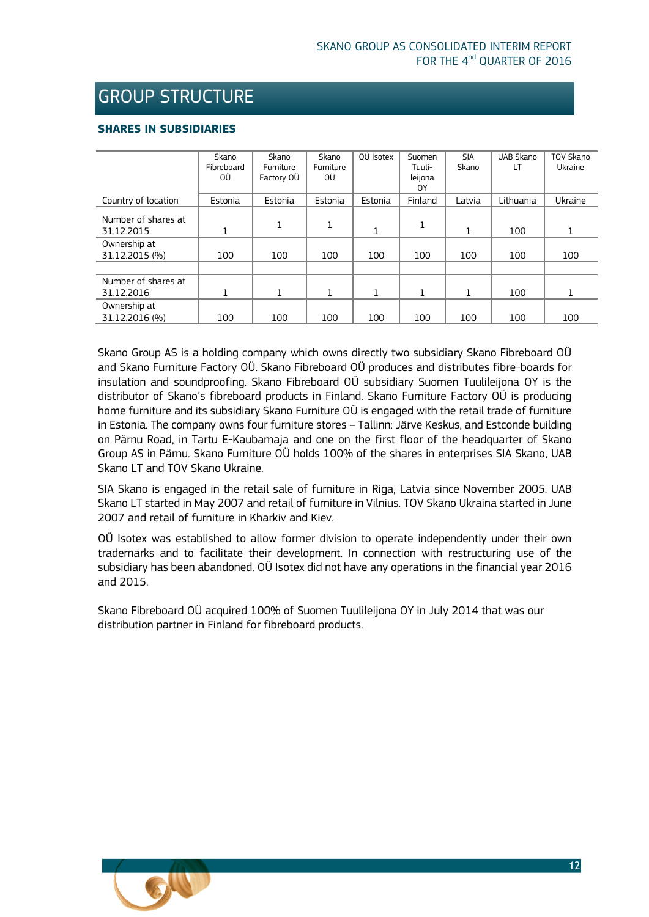### <span id="page-11-0"></span>GROUP STRUCTURE

### **SHARES IN SUBSIDIARIES**

|                     | Skano      | Skano        | Skano            | OÜ Isotex | Suomen  | <b>SIA</b> | UAB Skano | TOV Skano |
|---------------------|------------|--------------|------------------|-----------|---------|------------|-----------|-----------|
|                     | Fibreboard | Furniture    | <b>Furniture</b> |           | Tuuli-  | Skano      | LT        | Ukraine   |
|                     | ΟÜ         | Factory OÜ   | ΟÜ               |           | leijona |            |           |           |
|                     |            |              |                  |           | 0Y      |            |           |           |
| Country of location | Estonia    | Estonia      | Estonia          | Estonia   | Finland | Latvia     | Lithuania | Ukraine   |
| Number of shares at |            |              |                  |           |         |            |           |           |
|                     |            | $\mathbf{1}$ | $\mathbf{1}$     |           | 1       |            |           |           |
| 31.12.2015          | 1<br>Ŧ.    |              |                  | 1         |         | 1          | 100       | 1         |
| Ownership at        |            |              |                  |           |         |            |           |           |
| 31.12.2015 (%)      | 100        | 100          | 100              | 100       | 100     | 100        | 100       | 100       |
|                     |            |              |                  |           |         |            |           |           |
| Number of shares at |            |              |                  |           |         |            |           |           |
| 31.12.2016          |            |              | $\mathbf{1}$     |           | 1       | 1          | 100       |           |
| Ownership at        |            |              |                  |           |         |            |           |           |
| 31.12.2016 (%)      | 100        | 100          | 100              | 100       | 100     | 100        | 100       | 100       |

Skano Group AS is a holding company which owns directly two subsidiary Skano Fibreboard OÜ and Skano Furniture Factory OÜ. Skano Fibreboard OÜ produces and distributes fibre-boards for insulation and soundproofing. Skano Fibreboard OÜ subsidiary Suomen Tuulileijona OY is the distributor of Skano's fibreboard products in Finland. Skano Furniture Factory OÜ is producing home furniture and its subsidiary Skano Furniture OÜ is engaged with the retail trade of furniture in Estonia. The company owns four furniture stores – Tallinn: Järve Keskus, and Estconde building on Pärnu Road, in Tartu E-Kaubamaja and one on the first floor of the headquarter of Skano Group AS in Pärnu. Skano Furniture OÜ holds 100% of the shares in enterprises SIA Skano, UAB Skano LT and TOV Skano Ukraine.

SIA Skano is engaged in the retail sale of furniture in Riga, Latvia since November 2005. UAB Skano LT started in May 2007 and retail of furniture in Vilnius. TOV Skano Ukraina started in June 2007 and retail of furniture in Kharkiv and Kiev.

OÜ Isotex was established to allow former division to operate independently under their own trademarks and to facilitate their development. In connection with restructuring use of the subsidiary has been abandoned. OÜ Isotex did not have any operations in the financial year 2016 and 2015.

Skano Fibreboard OÜ acquired 100% of Suomen Tuulileijona OY in July 2014 that was our distribution partner in Finland for fibreboard products.

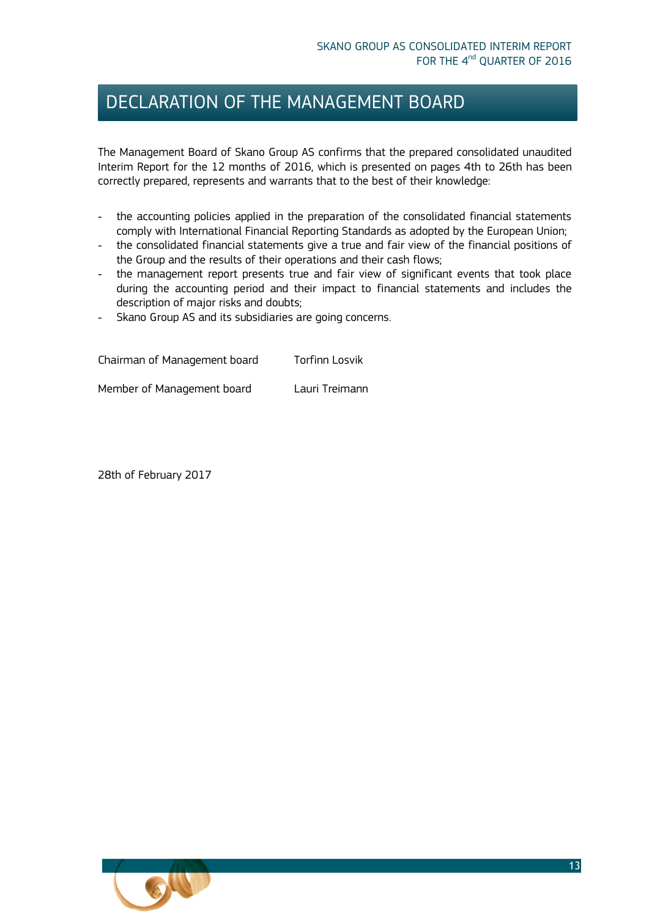### DECLARATION OF THE MANAGEMENT BOARD

The Management Board of Skano Group AS confirms that the prepared consolidated unaudited Interim Report for the 12 months of 2016, which is presented on pages 4th to 26th has been correctly prepared, represents and warrants that to the best of their knowledge:

- the accounting policies applied in the preparation of the consolidated financial statements comply with International Financial Reporting Standards as adopted by the European Union;
- the consolidated financial statements give a true and fair view of the financial positions of the Group and the results of their operations and their cash flows;
- the management report presents true and fair view of significant events that took place during the accounting period and their impact to financial statements and includes the description of major risks and doubts;
- Skano Group AS and its subsidiaries are going concerns.

Chairman of Management board Torfinn Losvik Member of Management board Lauri Treimann

28th of February 2017

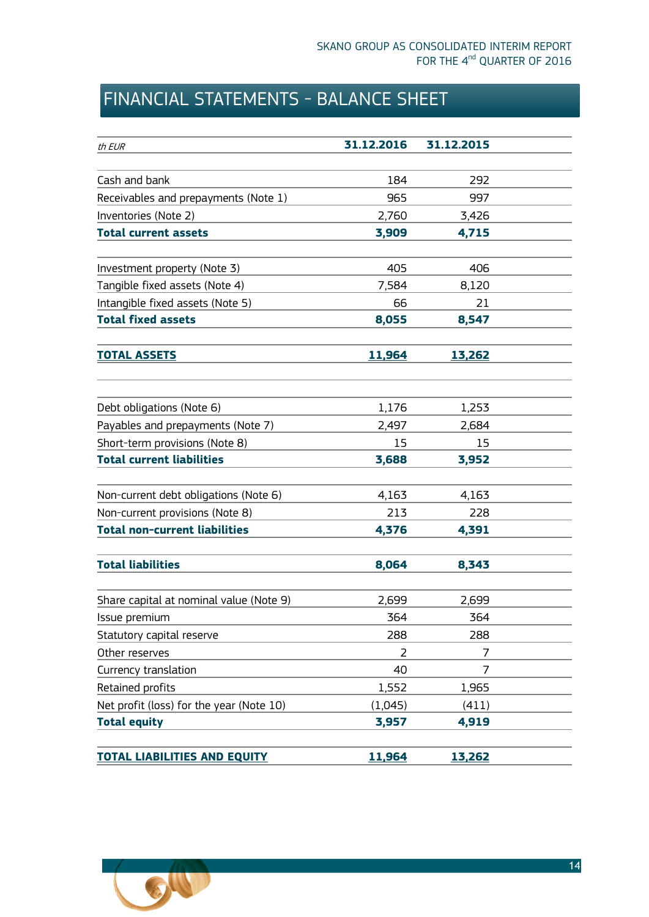# <span id="page-13-0"></span>FINANCIAL STATEMENTS - BALANCE SHEET

<span id="page-13-1"></span>

| th EUR                                   | 31.12.2016    | 31.12.2015    |
|------------------------------------------|---------------|---------------|
|                                          |               |               |
| Cash and bank                            | 184           | 292           |
| Receivables and prepayments (Note 1)     | 965           | 997           |
| Inventories (Note 2)                     | 2,760         | 3,426         |
| <b>Total current assets</b>              | 3,909         | 4,715         |
|                                          |               |               |
| Investment property (Note 3)             | 405           | 406           |
| Tangible fixed assets (Note 4)           | 7,584         | 8,120         |
| Intangible fixed assets (Note 5)         | 66            | 21            |
| <b>Total fixed assets</b>                | 8,055         | 8,547         |
| <b>TOTAL ASSETS</b>                      | <u>11,964</u> | <u>13,262</u> |
|                                          |               |               |
| Debt obligations (Note 6)                | 1,176         | 1,253         |
| Payables and prepayments (Note 7)        | 2,497         | 2,684         |
| Short-term provisions (Note 8)           | 15            | 15            |
| <b>Total current liabilities</b>         | 3,688         | 3,952         |
|                                          |               |               |
| Non-current debt obligations (Note 6)    | 4,163         | 4,163         |
| Non-current provisions (Note 8)          | 213           | 228           |
| <b>Total non-current liabilities</b>     | 4,376         | 4,391         |
| <b>Total liabilities</b>                 | 8,064         | 8,343         |
|                                          |               |               |
| Share capital at nominal value (Note 9)  | 2,699         | 2,699         |
| Issue premium                            | 364           | 364           |
| Statutory capital reserve                | 288           | 288           |
| Other reserves                           | 2             | 7             |
| Currency translation                     | 40            | 7             |
| Retained profits                         | 1,552         | 1,965         |
| Net profit (loss) for the year (Note 10) | (1,045)       | (411)         |
| <b>Total equity</b>                      | 3,957         | 4,919         |
|                                          |               |               |
| <b>TOTAL LIABILITIES AND EQUITY</b>      | 11,964        | 13,262        |

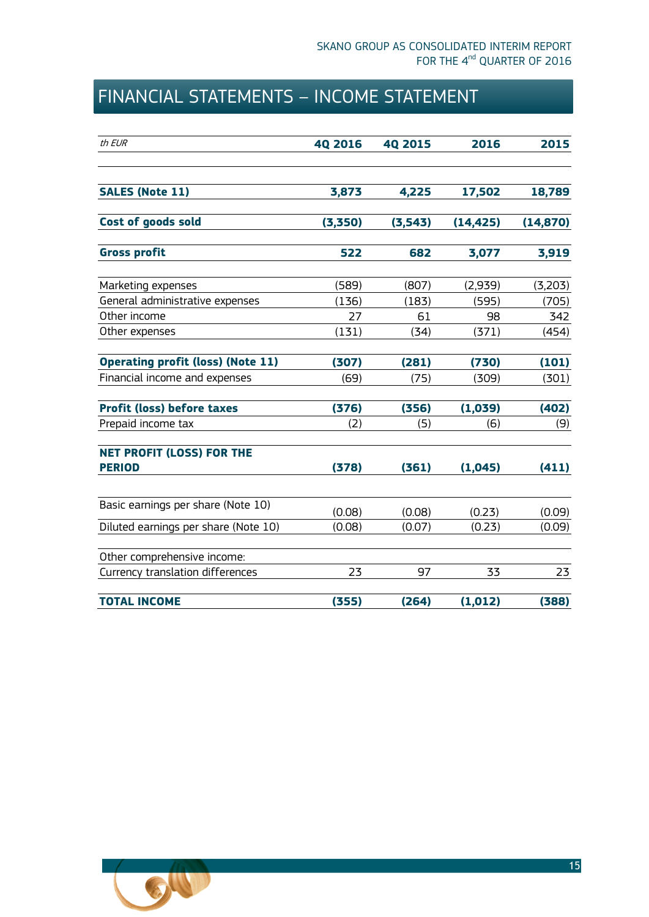# <span id="page-14-0"></span>FINANCIAL STATEMENTS – INCOME STATEMENT

| th EUR                                            | <b>40 2016</b> | <b>40 2015</b> | 2016      | 2015      |
|---------------------------------------------------|----------------|----------------|-----------|-----------|
| <b>SALES (Note 11)</b>                            | 3,873          | 4,225          | 17,502    | 18,789    |
| Cost of goods sold                                | (3,350)        | (3,543)        | (14, 425) | (14, 870) |
| <b>Gross profit</b>                               | 522            | 682            | 3,077     | 3,919     |
| Marketing expenses                                | (589)          | (807)          | (2,939)   | (3,203)   |
| General administrative expenses                   | (136)          | (183)          | (595)     | (705)     |
| Other income                                      | 27             | 61             | 98        | 342       |
| Other expenses                                    | (131)          | (34)           | (371)     | (454)     |
| <b>Operating profit (loss) (Note 11)</b>          | (307)          | (281)          | (730)     | (101)     |
| Financial income and expenses                     | (69)           | (75)           | (309)     | (301)     |
| <b>Profit (loss) before taxes</b>                 | (376)          | (356)          | (1,039)   | (402)     |
| Prepaid income tax                                | (2)            | (5)            | (6)       | (9)       |
| <b>NET PROFIT (LOSS) FOR THE</b><br><b>PERIOD</b> | (378)          | (361)          | (1,045)   | (411)     |
|                                                   |                |                |           |           |
| Basic earnings per share (Note 10)                | (0.08)         | (0.08)         | (0.23)    | (0.09)    |
| Diluted earnings per share (Note 10)              | (0.08)         | (0.07)         | (0.23)    | (0.09)    |
| Other comprehensive income:                       |                |                |           |           |
| Currency translation differences                  | 23             | 97             | 33        | 23        |
| <b>TOTAL INCOME</b>                               | (355)          | (264)          | (1, 012)  | (388)     |

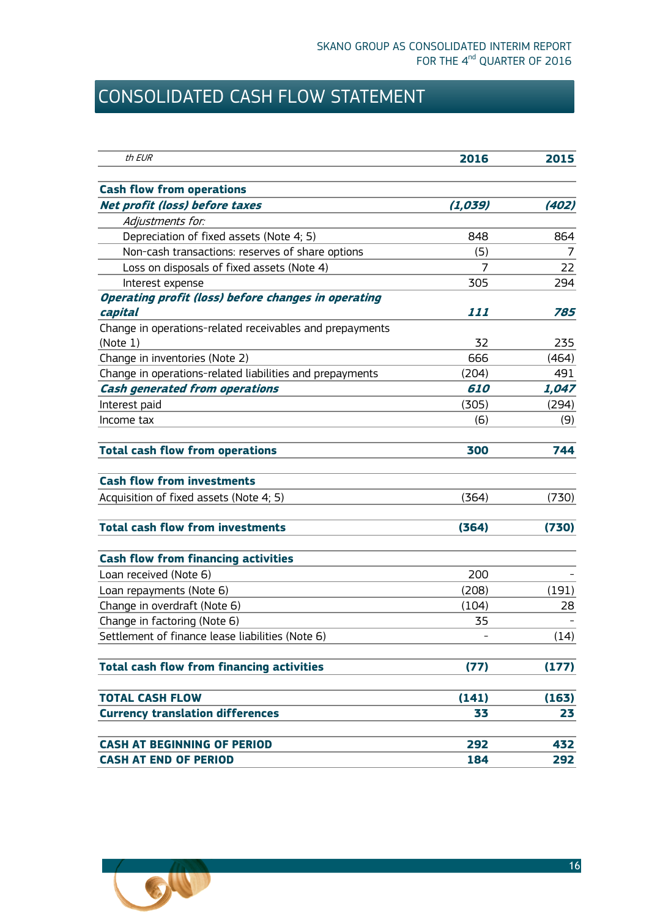# <span id="page-15-0"></span>CONSOLIDATED CASH FLOW STATEMENT

| th EUR                                                                | 2016              | 2015  |
|-----------------------------------------------------------------------|-------------------|-------|
|                                                                       |                   |       |
| <b>Cash flow from operations</b>                                      |                   |       |
| <b>Net profit (loss) before taxes</b>                                 | (1,039)           | (402) |
| Adjustments for:                                                      |                   |       |
| Depreciation of fixed assets (Note 4; 5)                              | 848               | 864   |
| Non-cash transactions: reserves of share options                      | (5)               | 7     |
| Loss on disposals of fixed assets (Note 4)                            | 7                 | 22    |
| Interest expense                                                      | 305               | 294   |
| <b>Operating profit (loss) before changes in operating</b><br>capital | 111               | 785   |
| Change in operations-related receivables and prepayments              |                   |       |
| (Note 1)                                                              | 32                | 235   |
| Change in inventories (Note 2)                                        | 666               | (464) |
| Change in operations-related liabilities and prepayments              | (204)             | 491   |
| <b>Cash generated from operations</b>                                 | <i><b>610</b></i> | 1,047 |
| Interest paid                                                         | (305)             | (294) |
| Income tax                                                            | (6)               | (9)   |
| <b>Total cash flow from operations</b>                                | 300               | 744   |
| <b>Cash flow from investments</b>                                     |                   |       |
| Acquisition of fixed assets (Note 4; 5)                               | (364)             | (730) |
| <b>Total cash flow from investments</b>                               | (364)             | (730) |
| <b>Cash flow from financing activities</b>                            |                   |       |
| Loan received (Note 6)                                                | 200               |       |
| Loan repayments (Note 6)                                              | (208)             | (191) |
| Change in overdraft (Note 6)                                          | (104)             | 28    |
| Change in factoring (Note 6)                                          | 35                |       |
| Settlement of finance lease liabilities (Note 6)                      |                   | (14)  |
| <b>Total cash flow from financing activities</b>                      | (77)              | (177) |
| <b>TOTAL CASH FLOW</b>                                                | (141)             | (163) |
| <b>Currency translation differences</b>                               | 33                | 23    |
| <b>CASH AT BEGINNING OF PERIOD</b>                                    | 292               | 432   |
| <b>CASH AT END OF PERIOD</b>                                          | 184               | 292   |

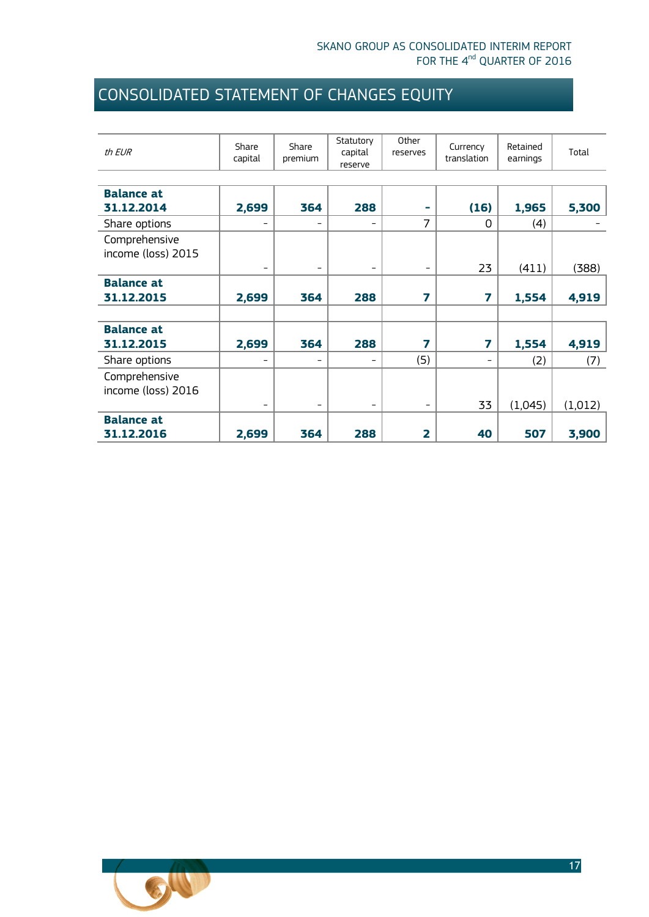# <span id="page-16-0"></span>CONSOLIDATED STATEMENT OF CHANGES EQUITY

| th EUR             | Share<br>capital         | Share<br>premium         | Statutory<br>capital<br>reserve | Other<br>reserves       | Currency<br>translation  | Retained<br>earnings | Total   |
|--------------------|--------------------------|--------------------------|---------------------------------|-------------------------|--------------------------|----------------------|---------|
|                    |                          |                          |                                 |                         |                          |                      |         |
| <b>Balance at</b>  |                          |                          |                                 |                         |                          |                      |         |
| 31.12.2014         | 2,699                    | 364                      | 288                             | ٠                       | (16)                     | 1,965                | 5,300   |
| Share options      | -                        | -                        | $\overline{\phantom{a}}$        | $\overline{7}$          | $\Omega$                 | (4)                  |         |
| Comprehensive      |                          |                          |                                 |                         |                          |                      |         |
| income (loss) 2015 |                          |                          |                                 |                         |                          |                      |         |
|                    | $\qquad \qquad -$        | $\qquad \qquad -$        | $\overline{\phantom{a}}$        | -                       | 23                       | (411)                | (388)   |
| <b>Balance at</b>  |                          |                          |                                 |                         |                          |                      |         |
| 31.12.2015         | 2,699                    | 364                      | 288                             | 7                       | 7                        | 1,554                | 4,919   |
|                    |                          |                          |                                 |                         |                          |                      |         |
| <b>Balance at</b>  |                          |                          |                                 |                         |                          |                      |         |
| 31.12.2015         | 2,699                    | 364                      | 288                             | 7                       | 7                        | 1,554                | 4,919   |
| Share options      | $\overline{\phantom{0}}$ | $\overline{\phantom{m}}$ | $\overline{\phantom{a}}$        | (5)                     | $\overline{\phantom{0}}$ | (2)                  | (7)     |
| Comprehensive      |                          |                          |                                 |                         |                          |                      |         |
| income (loss) 2016 |                          |                          |                                 |                         |                          |                      |         |
|                    | $\overline{\phantom{a}}$ | $\qquad \qquad -$        | $\overline{\phantom{a}}$        | $\qquad \qquad -$       | 33                       | (1,045)              | (1,012) |
| <b>Balance at</b>  |                          |                          |                                 |                         |                          |                      |         |
| 31.12.2016         | 2,699                    | 364                      | 288                             | $\overline{\mathbf{2}}$ | 40                       | 507                  | 3,900   |

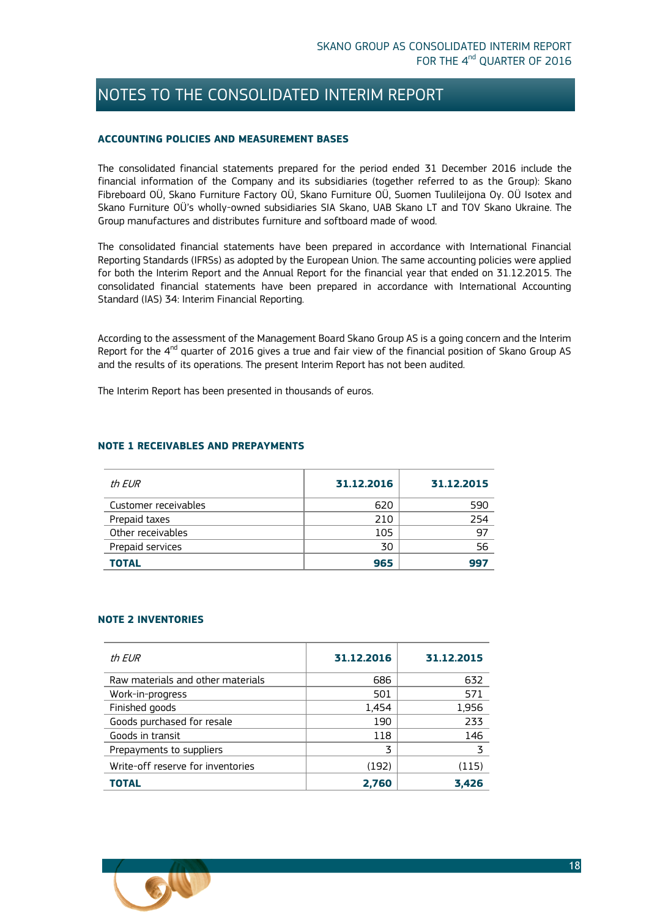### <span id="page-17-0"></span>NOTES TO THE CONSOLIDATED INTERIM REPORT

#### <span id="page-17-1"></span>**ACCOUNTING POLICIES AND MEASUREMENT BASES**

The consolidated financial statements prepared for the period ended 31 December 2016 include the financial information of the Company and its subsidiaries (together referred to as the Group): Skano Fibreboard OÜ, Skano Furniture Factory OÜ, Skano Furniture OÜ, Suomen Tuulileijona Oy. OÜ Isotex and Skano Furniture OÜ's wholly-owned subsidiaries SIA Skano, UAB Skano LT and TOV Skano Ukraine. The Group manufactures and distributes furniture and softboard made of wood.

The consolidated financial statements have been prepared in accordance with International Financial Reporting Standards (IFRSs) as adopted by the European Union. The same accounting policies were applied for both the Interim Report and the Annual Report for the financial year that ended on 31.12.2015. The consolidated financial statements have been prepared in accordance with International Accounting Standard (IAS) 34: Interim Financial Reporting.

According to the assessment of the Management Board Skano Group AS is a going concern and the Interim Report for the 4<sup>nd</sup> quarter of 2016 gives a true and fair view of the financial position of Skano Group AS and the results of its operations. The present Interim Report has not been audited.

The Interim Report has been presented in thousands of euros.

#### <span id="page-17-2"></span>**NOTE 1 RECEIVABLES AND PREPAYMENTS**

| th EUR               | 31.12.2016 | 31.12.2015 |
|----------------------|------------|------------|
| Customer receivables | 620        | 590        |
| Prepaid taxes        | 210        | 254        |
| Other receivables    | 105        | 97         |
| Prepaid services     | 30         | 56         |
| <b>TOTAL</b>         | 965        | 997        |

#### <span id="page-17-3"></span>**NOTE 2 INVENTORIES**

| th FUR                            | 31.12.2016 | 31.12.2015 |
|-----------------------------------|------------|------------|
| Raw materials and other materials | 686        | 632        |
| Work-in-progress                  | 501        | 571        |
| Finished goods                    | 1,454      | 1,956      |
| Goods purchased for resale        | 190        | 233        |
| Goods in transit                  | 118        | 146        |
| Prepayments to suppliers          | 3          | 3          |
| Write-off reserve for inventories | (192)      | (115)      |
| TOTAL                             | 2,760      | 3,426      |

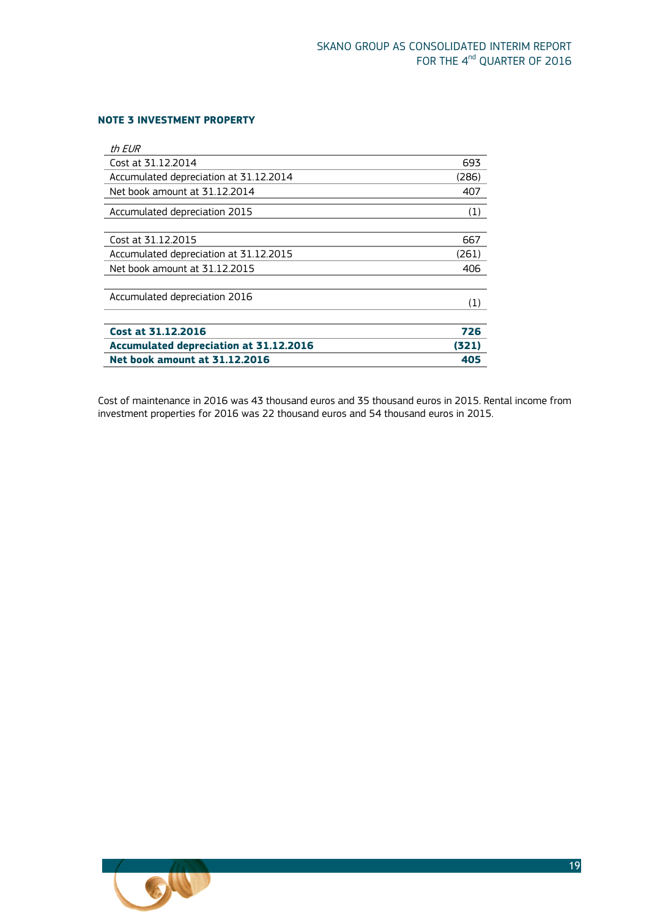#### <span id="page-18-0"></span>**NOTE 3 INVESTMENT PROPERTY**

| th EUR                                        |       |
|-----------------------------------------------|-------|
| Cost at 31.12.2014                            | 693   |
| Accumulated depreciation at 31.12.2014        | (286) |
| Net book amount at 31.12.2014                 | 407   |
| Accumulated depreciation 2015                 | (1)   |
|                                               |       |
| Cost at 31.12.2015                            | 667   |
| Accumulated depreciation at 31.12.2015        | (261) |
| Net book amount at 31.12.2015                 | 406   |
|                                               |       |
| Accumulated depreciation 2016                 | (1)   |
|                                               |       |
| <b>Cost at 31.12.2016</b>                     | 726   |
| <b>Accumulated depreciation at 31.12.2016</b> | (321) |
| <b>Net book amount at 31.12.2016</b>          | 405   |

Cost of maintenance in 2016 was 43 thousand euros and 35 thousand euros in 2015. Rental income from investment properties for 2016 was 22 thousand euros and 54 thousand euros in 2015.

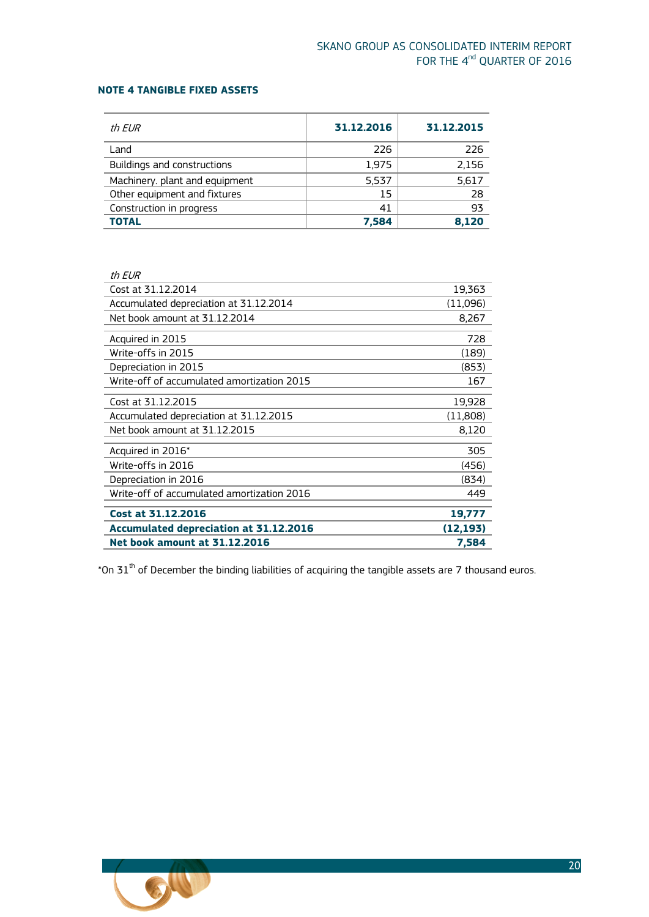### <span id="page-19-0"></span>**NOTE 4 TANGIBLE FIXED ASSETS**

| th EUR                         | 31.12.2016 | 31.12.2015 |
|--------------------------------|------------|------------|
| Land                           | 226        | 226        |
| Buildings and constructions    | 1,975      | 2,156      |
| Machinery. plant and equipment | 5.537      | 5,617      |
| Other equipment and fixtures   | 15         | 28         |
| Construction in progress       | 41         | 93         |
| <b>TOTAL</b>                   | 7.584      | 8.120      |

| th EUR                                        |           |
|-----------------------------------------------|-----------|
| Cost at 31.12.2014                            | 19,363    |
| Accumulated depreciation at 31.12.2014        | (11,096)  |
| Net book amount at 31.12.2014                 | 8,267     |
| Acquired in 2015                              | 728       |
| Write-offs in 2015                            | (189)     |
| Depreciation in 2015                          | (853)     |
| Write-off of accumulated amortization 2015    | 167       |
| Cost at 31.12.2015                            | 19,928    |
| Accumulated depreciation at 31.12.2015        | (11,808)  |
| Net book amount at 31.12.2015                 | 8,120     |
| Acquired in 2016*                             | 305       |
| Write-offs in 2016                            | (456)     |
| Depreciation in 2016                          | (834)     |
| Write-off of accumulated amortization 2016    | 449       |
| Cost at 31.12.2016                            | 19,777    |
| <b>Accumulated depreciation at 31.12.2016</b> | (12, 193) |
| <b>Net book amount at 31.12.2016</b>          | 7,584     |

 $^*$ On 31 $^{\rm th}$  of December the binding liabilities of acquiring the tangible assets are 7 thousand euros.

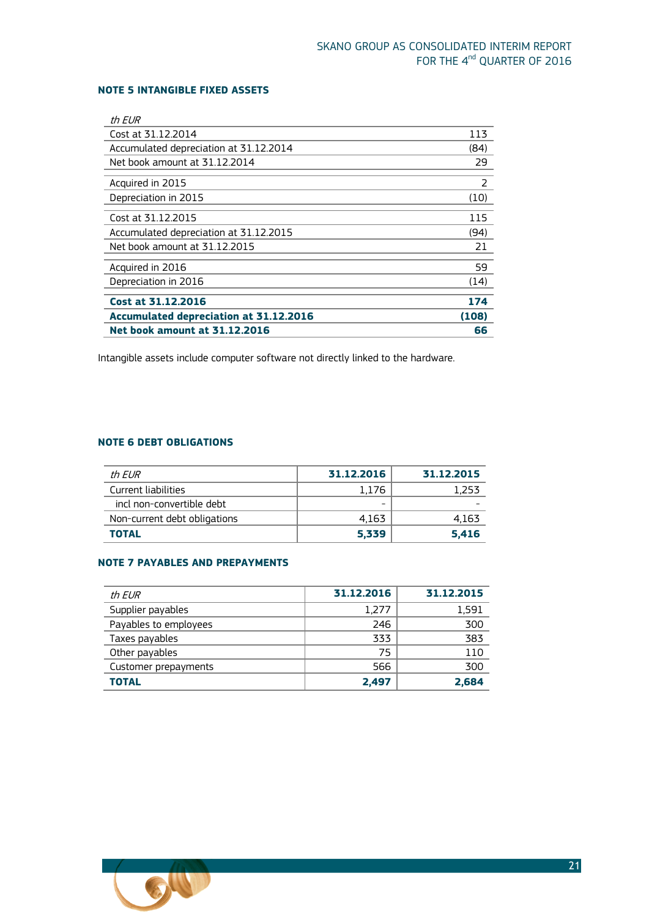### <span id="page-20-0"></span>**NOTE 5 INTANGIBLE FIXED ASSETS**

| th EUR                                 |       |
|----------------------------------------|-------|
| Cost at 31.12.2014                     | 113   |
| Accumulated depreciation at 31.12.2014 | (84)  |
| Net book amount at 31.12.2014          | 29    |
| Acquired in 2015                       | 2     |
| Depreciation in 2015                   | (10)  |
| Cost at 31.12.2015                     | 115   |
| Accumulated depreciation at 31.12.2015 | (94)  |
| Net book amount at 31.12.2015          | 21    |
| Acquired in 2016                       | 59    |
| Depreciation in 2016                   | (14)  |
| Cost at 31.12.2016                     | 174   |
| Accumulated depreciation at 31.12.2016 | (108) |
| <b>Net book amount at 31.12.2016</b>   | 66    |

<span id="page-20-1"></span>Intangible assets include computer software not directly linked to the hardware.

### **NOTE 6 DEBT OBLIGATIONS**

| th FUR                       | 31.12.2016 | 31.12.2015 |
|------------------------------|------------|------------|
| Current liabilities          | 1.176      | 1.253      |
| incl non-convertible debt    | -          |            |
| Non-current debt obligations | 4.163      | 4,163      |
| <b>TOTAL</b>                 | 5,339      | 5.416      |

#### <span id="page-20-2"></span>**NOTE 7 PAYABLES AND PREPAYMENTS**

| th EUR                | 31.12.2016 | 31.12.2015 |
|-----------------------|------------|------------|
| Supplier payables     | 1,277      | 1,591      |
| Payables to employees | 246        | 300        |
| Taxes payables        | 333        | 383        |
| Other payables        | 75         | 110        |
| Customer prepayments  | 566        | 300        |
| <b>TOTAL</b>          | 2.497      | 2.684      |

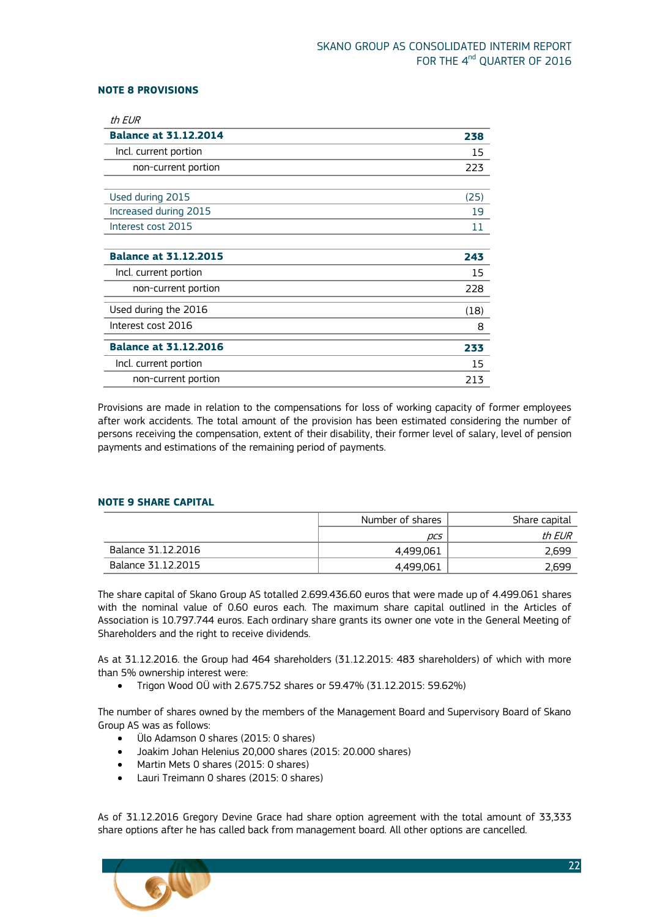#### <span id="page-21-0"></span>**NOTE 8 PROVISIONS**

| 238  |
|------|
| 15   |
| 223  |
|      |
| (25) |
| 19   |
| 11   |
|      |
| 243  |
| 15   |
| 228  |
|      |
| (18) |
| 8    |
| 233  |
| 15   |
|      |

Provisions are made in relation to the compensations for loss of working capacity of former employees after work accidents. The total amount of the provision has been estimated considering the number of persons receiving the compensation, extent of their disability, their former level of salary, level of pension payments and estimations of the remaining period of payments.

#### <span id="page-21-1"></span>**NOTE 9 SHARE CAPITAL**

|                    | Number of shares | Share capital |
|--------------------|------------------|---------------|
|                    | DCS              | th EUR        |
| Balance 31.12.2016 | 4,499,061        | 2.699         |
| Balance 31.12.2015 | 4,499,061        | 2,699         |

The share capital of Skano Group AS totalled 2.699.436.60 euros that were made up of 4.499.061 shares with the nominal value of 0.60 euros each. The maximum share capital outlined in the Articles of Association is 10.797.744 euros. Each ordinary share grants its owner one vote in the General Meeting of Shareholders and the right to receive dividends.

As at 31.12.2016. the Group had 464 shareholders (31.12.2015: 483 shareholders) of which with more than 5% ownership interest were:

Trigon Wood OÜ with 2.675.752 shares or 59.47% (31.12.2015: 59.62%)

The number of shares owned by the members of the Management Board and Supervisory Board of Skano Group AS was as follows:

- Ülo Adamson 0 shares (2015: 0 shares)
- Joakim Johan Helenius 20,000 shares (2015: 20.000 shares)
- Martin Mets 0 shares (2015: 0 shares)
- Lauri Treimann 0 shares (2015: 0 shares)

As of 31.12.2016 Gregory Devine Grace had share option agreement with the total amount of 33,333 share options after he has called back from management board. All other options are cancelled.

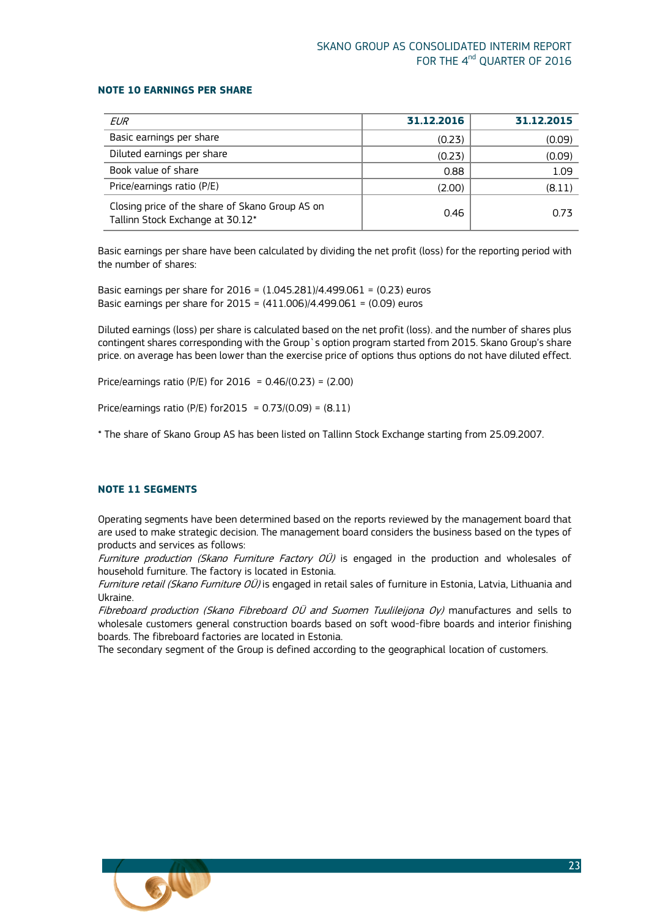### <span id="page-22-0"></span>**NOTE 10 EARNINGS PER SHARE**

| EUR                                                                                 | 31.12.2016 | 31.12.2015 |
|-------------------------------------------------------------------------------------|------------|------------|
| Basic earnings per share                                                            | (0.23)     | (0.09)     |
| Diluted earnings per share                                                          | (0.23)     | (0.09)     |
| Book value of share                                                                 | 0.88       | 1.09       |
| Price/earnings ratio (P/E)                                                          | (2.00)     | (8.11)     |
| Closing price of the share of Skano Group AS on<br>Tallinn Stock Exchange at 30.12* | 0.46       | 0.73       |

Basic earnings per share have been calculated by dividing the net profit (loss) for the reporting period with the number of shares:

Basic earnings per share for 2016 = (1.045.281)/4.499.061 = (0.23) euros Basic earnings per share for 2015 = (411.006)/4.499.061 = (0.09) euros

Diluted earnings (loss) per share is calculated based on the net profit (loss). and the number of shares plus contingent shares corresponding with the Group`s option program started from 2015. Skano Group's share price. on average has been lower than the exercise price of options thus options do not have diluted effect.

Price/earnings ratio (P/E) for  $2016 = 0.46/(0.23) = (2.00)$ 

Price/earnings ratio (P/E) for  $2015 = 0.73/(0.09) = (8.11)$ 

\* The share of Skano Group AS has been listed on Tallinn Stock Exchange starting from 25.09.2007.

#### <span id="page-22-1"></span>**NOTE 11 SEGMENTS**

Operating segments have been determined based on the reports reviewed by the management board that are used to make strategic decision. The management board considers the business based on the types of products and services as follows:

Furniture production (Skano Furniture Factory OÜ) is engaged in the production and wholesales of household furniture. The factory is located in Estonia.

Furniture retail (Skano Furniture OÜ) is engaged in retail sales of furniture in Estonia, Latvia, Lithuania and Ukraine.

Fibreboard production (Skano Fibreboard OÜ and Suomen Tuulileijona Oy) manufactures and sells to wholesale customers general construction boards based on soft wood-fibre boards and interior finishing boards. The fibreboard factories are located in Estonia.

The secondary segment of the Group is defined according to the geographical location of customers.

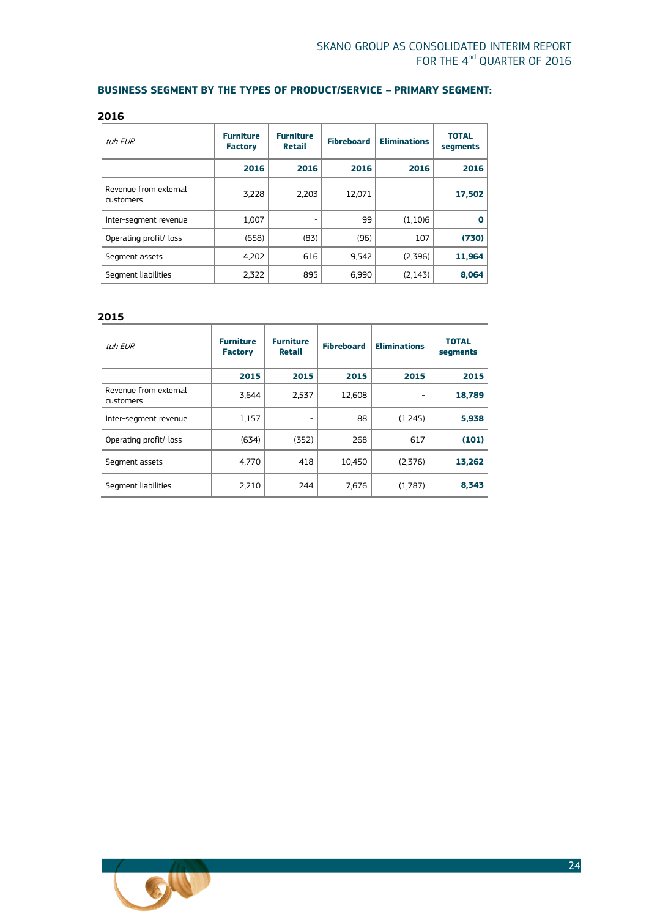### **BUSINESS SEGMENT BY THE TYPES OF PRODUCT/SERVICE – PRIMARY SEGMENT:**

| tuh EUR                            | <b>Furniture</b><br><b>Factory</b> | <b>Furniture</b><br><b>Retail</b> | <b>Fibreboard</b> | <b>Eliminations</b> | <b>TOTAL</b><br>segments |
|------------------------------------|------------------------------------|-----------------------------------|-------------------|---------------------|--------------------------|
|                                    | 2016                               | 2016                              | 2016              | 2016                | 2016                     |
| Revenue from external<br>customers | 3,228                              | 2,203                             | 12,071            |                     | 17,502                   |
| Inter-segment revenue              | 1,007                              |                                   | 99                | (1,10)6             | O                        |
| Operating profit/-loss             | (658)                              | (83)                              | (96)              | 107                 | (730)                    |
| Segment assets                     | 4,202                              | 616                               | 9,542             | (2,396)             | 11,964                   |
| Segment liabilities                | 2,322                              | 895                               | 6,990             | (2, 143)            | 8,064                    |

#### **2015**

| tuh EUR                            | <b>Furniture</b><br><b>Factory</b> | <b>Furniture</b><br><b>Retail</b> | <b>Fibreboard</b> | <b>Eliminations</b> | <b>TOTAL</b><br>segments |
|------------------------------------|------------------------------------|-----------------------------------|-------------------|---------------------|--------------------------|
|                                    | 2015                               | 2015                              | 2015              | 2015                | 2015                     |
| Revenue from external<br>customers | 3,644                              | 2,537                             | 12,608            |                     | 18,789                   |
| Inter-segment revenue              | 1,157                              |                                   | 88                | (1,245)             | 5,938                    |
| Operating profit/-loss             | (634)                              | (352)                             | 268               | 617                 | (101)                    |
| Segment assets                     | 4,770                              | 418                               | 10,450            | (2,376)             | 13,262                   |
| Segment liabilities                | 2,210                              | 244                               | 7,676             | (1,787)             | 8,343                    |

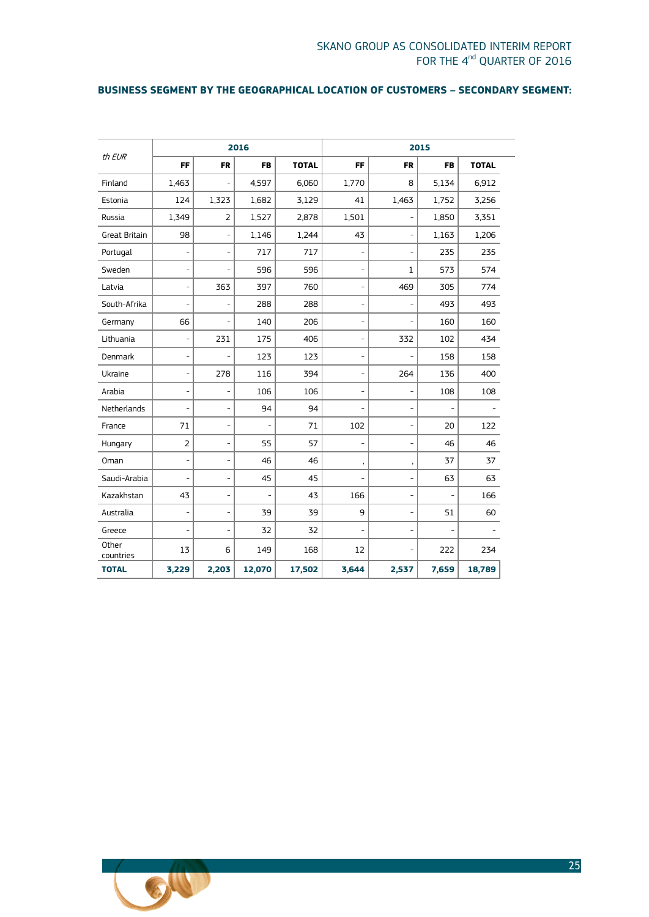### **BUSINESS SEGMENT BY THE GEOGRAPHICAL LOCATION OF CUSTOMERS – SECONDARY SEGMENT:**

|                      | 2016                     |                          |           | 2015         |                              |                |           |              |
|----------------------|--------------------------|--------------------------|-----------|--------------|------------------------------|----------------|-----------|--------------|
| th EUR               | FF                       | <b>FR</b>                | <b>FB</b> | <b>TOTAL</b> | FF                           | <b>FR</b>      | <b>FB</b> | <b>TOTAL</b> |
| Finland              | 1,463                    | $\overline{a}$           | 4,597     | 6,060        | 1,770                        | 8              | 5,134     | 6,912        |
| Estonia              | 124                      | 1,323                    | 1,682     | 3,129        | 41                           | 1,463          | 1,752     | 3,256        |
| Russia               | 1,349                    | 2                        | 1,527     | 2,878        | 1,501                        |                | 1,850     | 3,351        |
| <b>Great Britain</b> | 98                       | -                        | 1,146     | 1,244        | 43                           | -              | 1,163     | 1,206        |
| Portugal             | L,                       | ÷,                       | 717       | 717          | $\overline{\phantom{a}}$     | $\overline{a}$ | 235       | 235          |
| Sweden               | $\overline{a}$           | L,                       | 596       | 596          | $\overline{\phantom{a}}$     | 1              | 573       | 574          |
| Latvia               | ÷,                       | 363                      | 397       | 760          | $\overline{\phantom{0}}$     | 469            | 305       | 774          |
| South-Afrika         | L,                       | $\overline{a}$           | 288       | 288          | $\overline{\phantom{0}}$     | L,             | 493       | 493          |
| Germany              | 66                       | $\overline{\phantom{m}}$ | 140       | 206          | $\overline{\phantom{a}}$     |                | 160       | 160          |
| Lithuania            | -                        | 231                      | 175       | 406          | $\overline{\phantom{a}}$     | 332            | 102       | 434          |
| Denmark              | $\overline{\phantom{0}}$ | L,                       | 123       | 123          | $\overline{\phantom{0}}$     |                | 158       | 158          |
| Ukraine              | $\overline{\phantom{0}}$ | 278                      | 116       | 394          | $\qquad \qquad \blacksquare$ | 264            | 136       | 400          |
| Arabia               | $\overline{\phantom{0}}$ | ۰                        | 106       | 106          | $\qquad \qquad -$            | ۰              | 108       | 108          |
| Netherlands          | L,                       | $\overline{\phantom{a}}$ | 94        | 94           |                              | ÷,             | L,        |              |
| France               | 71                       | L,                       |           | 71           | 102                          | ÷,             | 20        | 122          |
| Hungary              | $\overline{2}$           | ÷,                       | 55        | 57           | ÷                            | L,             | 46        | 46           |
| Oman                 | ÷,                       | $\overline{a}$           | 46        | 46           | $\,$                         | ,              | 37        | 37           |
| Saudi-Arabia         | L,                       | $\overline{a}$           | 45        | 45           | $\overline{\phantom{a}}$     | ÷,             | 63        | 63           |
| Kazakhstan           | 43                       | ÷,                       | L,        | 43           | 166                          | -              | ÷,        | 166          |
| Australia            | -                        | Ē,                       | 39        | 39           | 9                            | $\overline{a}$ | 51        | 60           |
| Greece               | L,                       | ÷,                       | 32        | 32           | $\overline{\phantom{a}}$     | ÷,             | L,        |              |
| Other<br>countries   | 13                       | 6                        | 149       | 168          | 12                           |                | 222       | 234          |
| <b>TOTAL</b>         | 3,229                    | 2,203                    | 12,070    | 17,502       | 3,644                        | 2,537          | 7,659     | 18,789       |

<span id="page-24-0"></span>